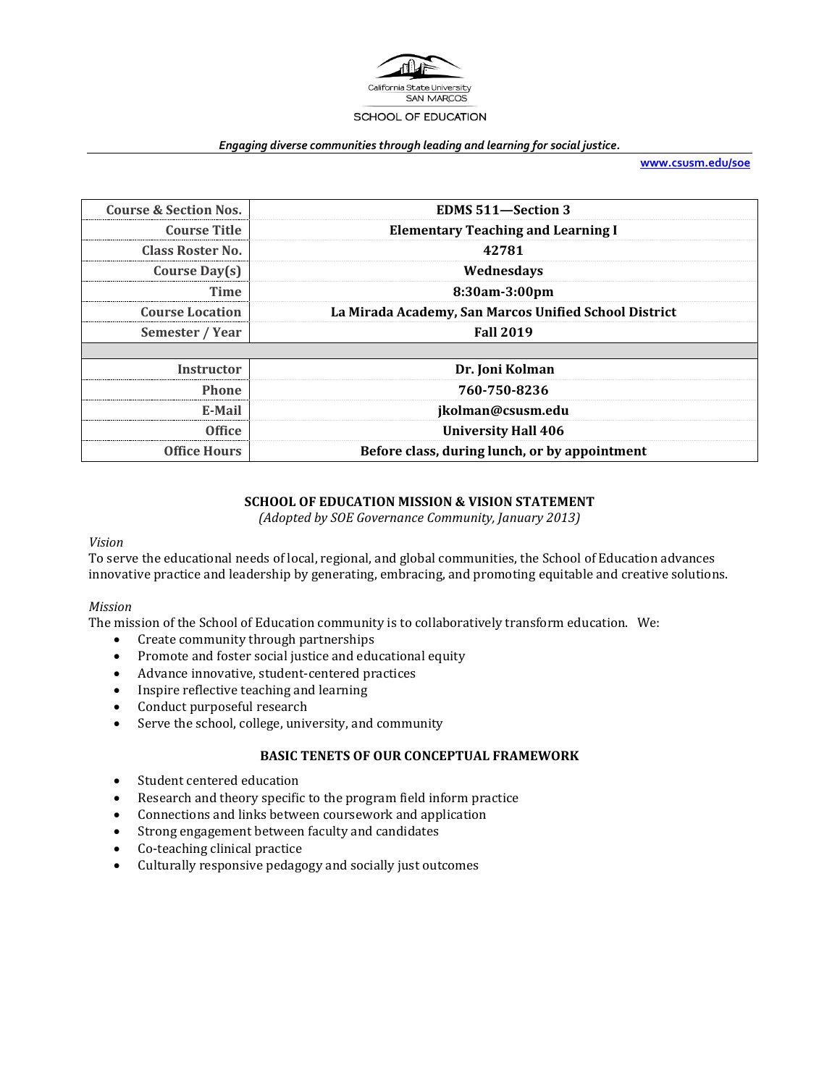

### *Engaging diverse communities through leading and learning for social justice.*

**[www.csusm.edu/soe](http://www.csusm.edu/soe)**

| <b>Course &amp; Section Nos.</b> | <b>EDMS 511-Section 3</b>                             |  |
|----------------------------------|-------------------------------------------------------|--|
| <b>Course Title</b>              | <b>Elementary Teaching and Learning I</b>             |  |
| Class Roster No.                 | 42781                                                 |  |
| Course Day(s)                    | Wednesdays                                            |  |
| Time                             | 8:30am-3:00pm                                         |  |
| <b>Course Location</b>           | La Mirada Academy, San Marcos Unified School District |  |
| Semester / Year                  | <b>Fall 2019</b>                                      |  |
|                                  |                                                       |  |
| Instructor                       | Dr. Joni Kolman                                       |  |
| Phone                            | 760-750-8236                                          |  |
| E-Mail                           | jkolman@csusm.edu                                     |  |
| Office                           | <b>University Hall 406</b>                            |  |
| <b>Office Hours</b>              | Before class, during lunch, or by appointment         |  |

### **SCHOOL OF EDUCATION MISSION & VISION STATEMENT**

*(Adopted by SOE Governance Community, January 2013)*

### *Vision*

To serve the educational needs of local, regional, and global communities, the School of Education advances innovative practice and leadership by generating, embracing, and promoting equitable and creative solutions.

### *Mission*

The mission of the School of Education community is to collaboratively transform education. We:

- Create community through partnerships
- Promote and foster social justice and educational equity
- Advance innovative, student-centered practices
- Inspire reflective teaching and learning
- Conduct purposeful research
- Serve the school, college, university, and community

# **BASIC TENETS OF OUR CONCEPTUAL FRAMEWORK**

- Student centered education
- Research and theory specific to the program field inform practice
- Connections and links between coursework and application
- Strong engagement between faculty and candidates
- Co-teaching clinical practice<br>• Culturally responsive pedago
- Culturally responsive pedagogy and socially just outcomes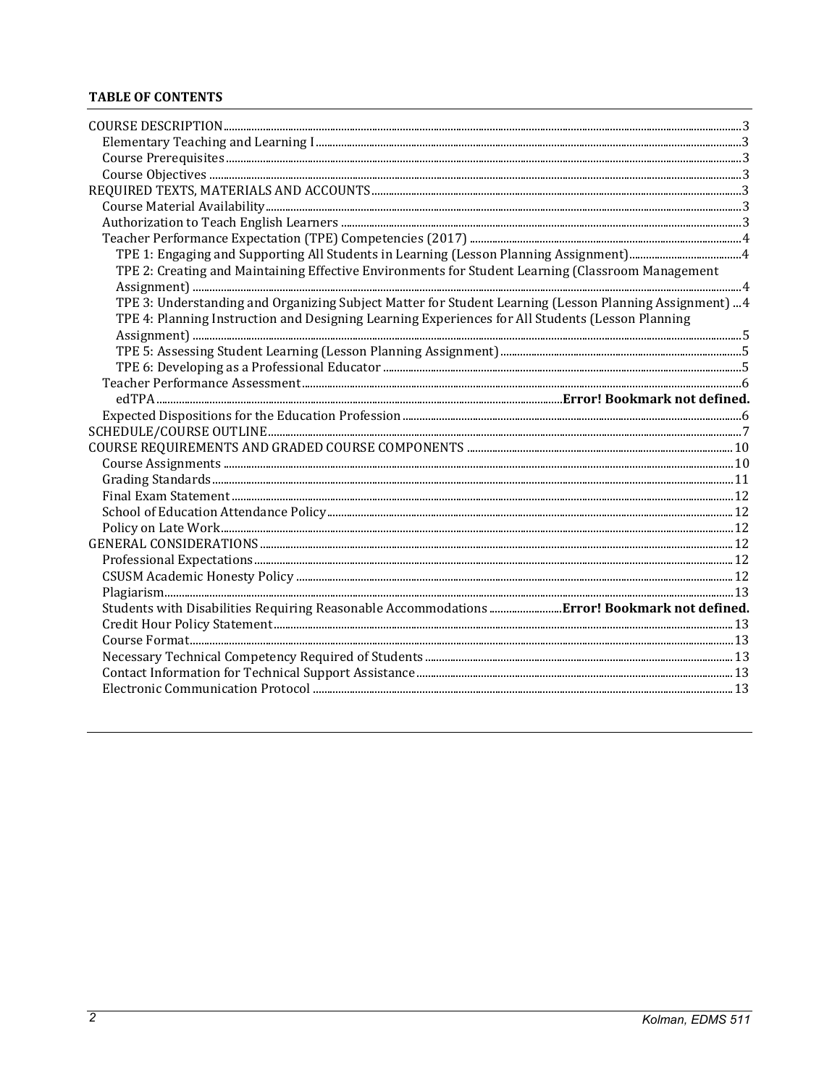# **TABLE OF CONTENTS**

| TPE 2: Creating and Maintaining Effective Environments for Student Learning (Classroom Management       |  |
|---------------------------------------------------------------------------------------------------------|--|
|                                                                                                         |  |
| TPE 3: Understanding and Organizing Subject Matter for Student Learning (Lesson Planning Assignment)  4 |  |
| TPE 4: Planning Instruction and Designing Learning Experiences for All Students (Lesson Planning        |  |
|                                                                                                         |  |
|                                                                                                         |  |
|                                                                                                         |  |
|                                                                                                         |  |
|                                                                                                         |  |
|                                                                                                         |  |
|                                                                                                         |  |
|                                                                                                         |  |
|                                                                                                         |  |
|                                                                                                         |  |
|                                                                                                         |  |
|                                                                                                         |  |
|                                                                                                         |  |
|                                                                                                         |  |
|                                                                                                         |  |
|                                                                                                         |  |
|                                                                                                         |  |
| Students with Disabilities Requiring Reasonable Accommodations Error! Bookmark not defined.             |  |
|                                                                                                         |  |
|                                                                                                         |  |
|                                                                                                         |  |
|                                                                                                         |  |
|                                                                                                         |  |
|                                                                                                         |  |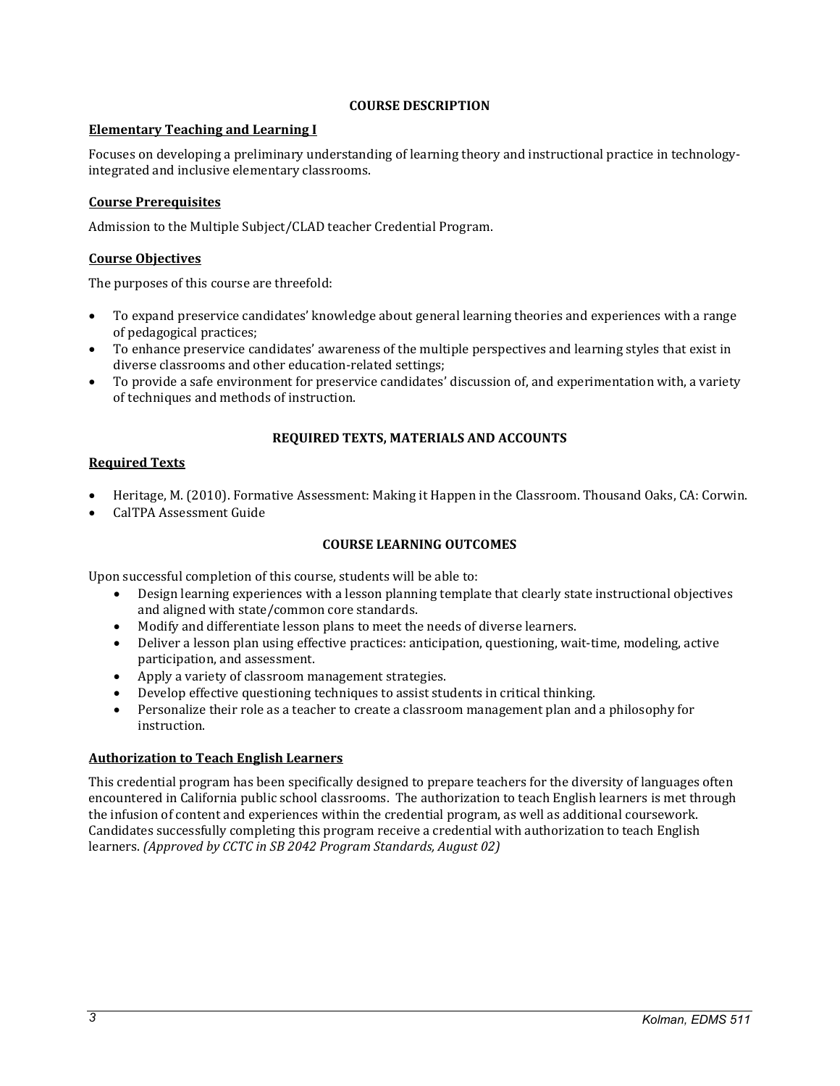### **COURSE DESCRIPTION**

### <span id="page-2-1"></span><span id="page-2-0"></span>**Elementary Teaching and Learning I**

Focuses on developing a preliminary understanding of learning theory and instructional practice in technologyintegrated and inclusive elementary classrooms.

# <span id="page-2-2"></span>**Course Prerequisites**

Admission to the Multiple Subject/CLAD teacher Credential Program.

# <span id="page-2-3"></span>**Course Objectives**

The purposes of this course are threefold:

- To expand preservice candidates' knowledge about general learning theories and experiences with a range of pedagogical practices;
- To enhance preservice candidates' awareness of the multiple perspectives and learning styles that exist in diverse classrooms and other education-related settings;
- To provide a safe environment for preservice candidates' discussion of, and experimentation with, a variety of techniques and methods of instruction.

### **REQUIRED TEXTS, MATERIALS AND ACCOUNTS**

### <span id="page-2-5"></span><span id="page-2-4"></span>**Required Texts**

- Heritage, M. (2010). Formative Assessment: Making it Happen in the Classroom. Thousand Oaks, CA: Corwin.
- CalTPA Assessment Guide

# **COURSE LEARNING OUTCOMES**

Upon successful completion of this course, students will be able to:

- Design learning experiences with a lesson planning template that clearly state instructional objectives and aligned with state/common core standards.
- Modify and differentiate lesson plans to meet the needs of diverse learners.<br>• Deliver a lesson plan using effective practices: anticipation, questioning, wai
- Deliver a lesson plan using effective practices: anticipation, questioning, wait-time, modeling, active participation, and assessment.
- Apply a variety of classroom management strategies.
- Develop effective questioning techniques to assist students in critical thinking.<br>• Personalize their role as a teacher to create a classroom management plan and
- Personalize their role as a teacher to create a classroom management plan and a philosophy for instruction.

### <span id="page-2-6"></span>**Authorization to Teach English Learners**

This credential program has been specifically designed to prepare teachers for the diversity of languages often encountered in California public school classrooms. The authorization to teach English learners is met through the infusion of content and experiences within the credential program, as well as additional coursework. Candidates successfully completing this program receive a credential with authorization to teach English learners. *(Approved by CCTC in SB 2042 Program Standards, August 02)*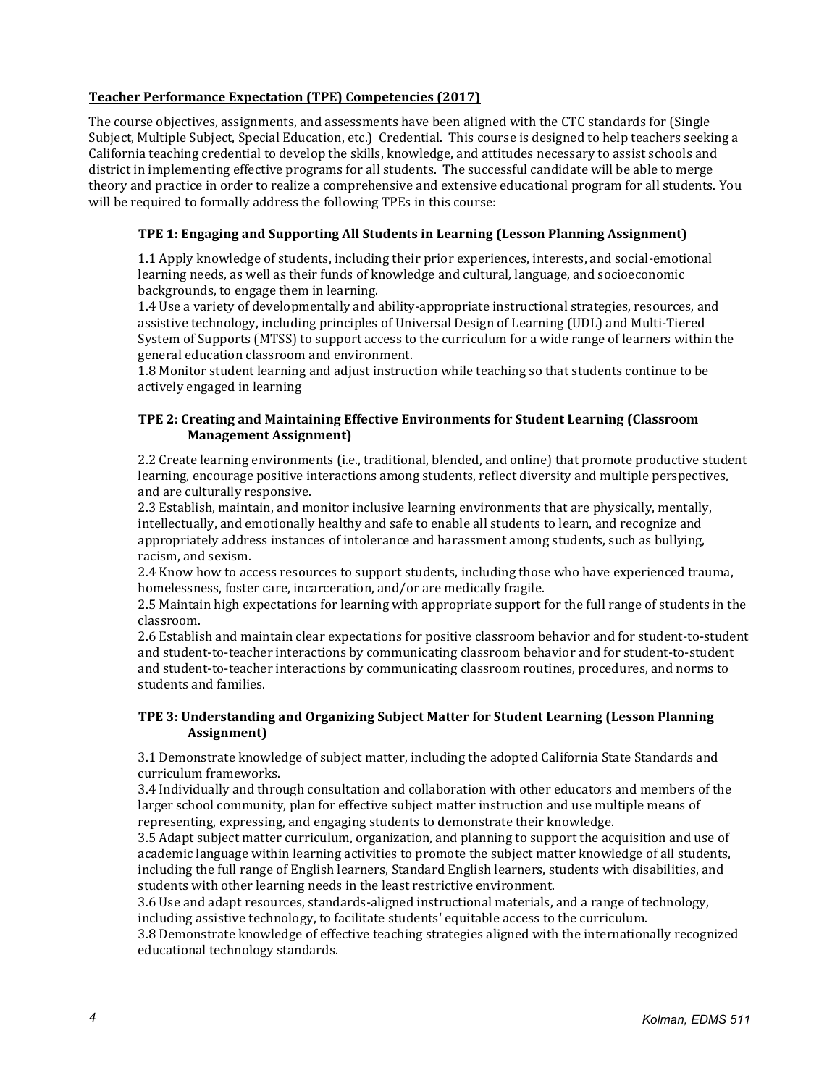# <span id="page-3-4"></span><span id="page-3-0"></span>**Teacher Performance Expectation (TPE) Competencies (2017)**

The course objectives, assignments, and assessments have been aligned with the CTC standards for (Single Subject, Multiple Subject, Special Education, etc.) Credential. This course is designed to help teachers seeking a California teaching credential to develop the skills, knowledge, and attitudes necessary to assist schools and district in implementing effective programs for all students. The successful candidate will be able to merge theory and practice in order to realize a comprehensive and extensive educational program for all students. You will be required to formally address the following TPEs in this course:

# <span id="page-3-1"></span>**TPE 1: Engaging and Supporting All Students in Learning (Lesson Planning Assignment)**

1.1 Apply knowledge of students, including their prior experiences, interests, and social-emotional learning needs, as well as their funds of knowledge and cultural, language, and socioeconomic backgrounds, to engage them in learning.

1.4 Use a variety of developmentally and ability-appropriate instructional strategies, resources, and assistive technology, including principles of Universal Design of Learning (UDL) and Multi-Tiered System of Supports (MTSS) to support access to the curriculum for a wide range of learners within the general education classroom and environment.

1.8 Monitor student learning and adjust instruction while teaching so that students continue to be actively engaged in learning

# <span id="page-3-2"></span>**TPE 2: Creating and Maintaining Effective Environments for Student Learning (Classroom Management Assignment)**

2.2 Create learning environments (i.e., traditional, blended, and online) that promote productive student learning, encourage positive interactions among students, reflect diversity and multiple perspectives, and are culturally responsive.

2.3 Establish, maintain, and monitor inclusive learning environments that are physically, mentally, intellectually, and emotionally healthy and safe to enable all students to learn, and recognize and appropriately address instances of intolerance and harassment among students, such as bullying, racism, and sexism.

2.4 Know how to access resources to support students, including those who have experienced trauma, homelessness, foster care, incarceration, and/or are medically fragile.

2.5 Maintain high expectations for learning with appropriate support for the full range of students in the classroom.

2.6 Establish and maintain clear expectations for positive classroom behavior and for student-to-student and student-to-teacher interactions by communicating classroom behavior and for student-to-student and student-to-teacher interactions by communicating classroom routines, procedures, and norms to students and families.

# <span id="page-3-3"></span>**TPE 3: Understanding and Organizing Subject Matter for Student Learning (Lesson Planning Assignment)**

3.1 Demonstrate knowledge of subject matter, including the adopted California State Standards and curriculum frameworks.

3.4 Individually and through consultation and collaboration with other educators and members of the larger school community, plan for effective subject matter instruction and use multiple means of representing, expressing, and engaging students to demonstrate their knowledge.

3.5 Adapt subject matter curriculum, organization, and planning to support the acquisition and use of academic language within learning activities to promote the subject matter knowledge of all students, including the full range of English learners, Standard English learners, students with disabilities, and students with other learning needs in the least restrictive environment.

3.6 Use and adapt resources, standards-aligned instructional materials, and a range of technology, including assistive technology, to facilitate students' equitable access to the curriculum.

3.8 Demonstrate knowledge of effective teaching strategies aligned with the internationally recognized educational technology standards.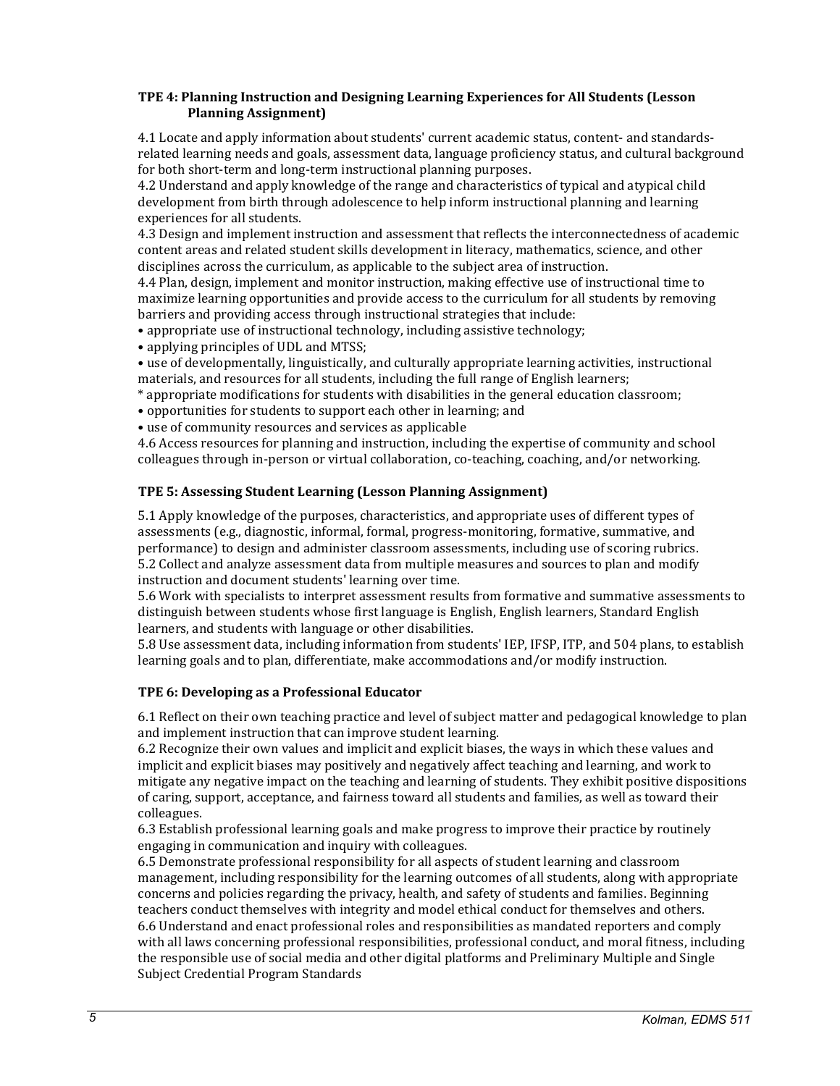### <span id="page-4-2"></span>**TPE 4: Planning Instruction and Designing Learning Experiences for All Students (Lesson Planning Assignment)**

4.1 Locate and apply information about students' current academic status, content- and standardsrelated learning needs and goals, assessment data, language proficiency status, and cultural background for both short-term and long-term instructional planning purposes.

4.2 Understand and apply knowledge of the range and characteristics of typical and atypical child development from birth through adolescence to help inform instructional planning and learning experiences for all students.

4.3 Design and implement instruction and assessment that reflects the interconnectedness of academic content areas and related student skills development in literacy, mathematics, science, and other disciplines across the curriculum, as applicable to the subject area of instruction.

4.4 Plan, design, implement and monitor instruction, making effective use of instructional time to maximize learning opportunities and provide access to the curriculum for all students by removing barriers and providing access through instructional strategies that include:

• appropriate use of instructional technology, including assistive technology;

• applying principles of UDL and MTSS;

• use of developmentally, linguistically, and culturally appropriate learning activities, instructional materials, and resources for all students, including the full range of English learners;

- \* appropriate modifications for students with disabilities in the general education classroom;
- opportunities for students to support each other in learning; and
- use of community resources and services as applicable

4.6 Access resources for planning and instruction, including the expertise of community and school colleagues through in-person or virtual collaboration, co-teaching, coaching, and/or networking.

# <span id="page-4-0"></span>**TPE 5: Assessing Student Learning (Lesson Planning Assignment)**

5.1 Apply knowledge of the purposes, characteristics, and appropriate uses of different types of assessments (e.g., diagnostic, informal, formal, progress-monitoring, formative, summative, and performance) to design and administer classroom assessments, including use of scoring rubrics. 5.2 Collect and analyze assessment data from multiple measures and sources to plan and modify instruction and document students' learning over time.

5.6 Work with specialists to interpret assessment results from formative and summative assessments to distinguish between students whose first language is English, English learners, Standard English learners, and students with language or other disabilities.

5.8 Use assessment data, including information from students' IEP, IFSP, ITP, and 504 plans, to establish learning goals and to plan, differentiate, make accommodations and/or modify instruction.

### <span id="page-4-1"></span>**TPE 6: Developing as a Professional Educator**

6.1 Reflect on their own teaching practice and level of subject matter and pedagogical knowledge to plan and implement instruction that can improve student learning.

6.2 Recognize their own values and implicit and explicit biases, the ways in which these values and implicit and explicit biases may positively and negatively affect teaching and learning, and work to mitigate any negative impact on the teaching and learning of students. They exhibit positive dispositions of caring, support, acceptance, and fairness toward all students and families, as well as toward their colleagues.

6.3 Establish professional learning goals and make progress to improve their practice by routinely engaging in communication and inquiry with colleagues.

6.5 Demonstrate professional responsibility for all aspects of student learning and classroom management, including responsibility for the learning outcomes of all students, along with appropriate concerns and policies regarding the privacy, health, and safety of students and families. Beginning teachers conduct themselves with integrity and model ethical conduct for themselves and others. 6.6 Understand and enact professional roles and responsibilities as mandated reporters and comply with all laws concerning professional responsibilities, professional conduct, and moral fitness, including the responsible use of social media and other digital platforms and Preliminary Multiple and Single Subject Credential Program Standards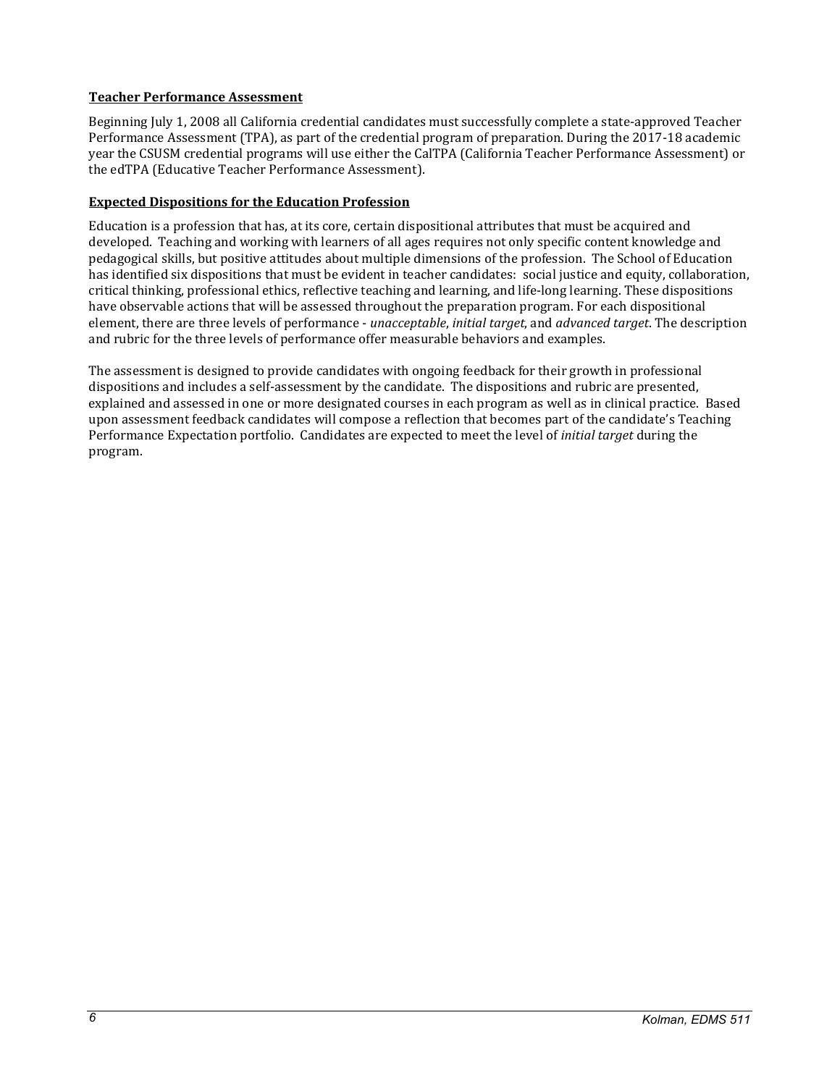# **Teacher Performance Assessment**

Beginning July 1, 2008 all California credential candidates must successfully complete a state-approved Teacher Performance Assessment (TPA), as part of the credential program of preparation. During the 2017-18 academic year the CSUSM credential programs will use either the CalTPA (California Teacher Performance Assessment) or the edTPA (Educative Teacher Performance Assessment).

# <span id="page-5-0"></span>**Expected Dispositions for the Education Profession**

Education is a profession that has, at its core, certain dispositional attributes that must be acquired and developed. Teaching and working with learners of all ages requires not only specific content knowledge and pedagogical skills, but positive attitudes about multiple dimensions of the profession. The School of Education has identified six dispositions that must be evident in teacher candidates: social justice and equity, collaboration, critical thinking, professional ethics, reflective teaching and learning, and life-long learning. These dispositions have observable actions that will be assessed throughout the preparation program. For each dispositional element, there are three levels of performance - *unacceptable*, *initial target*, and *advanced target*. The description and rubric for the three levels of performance offer measurable behaviors and examples.

The assessment is designed to provide candidates with ongoing feedback for their growth in professional dispositions and includes a self-assessment by the candidate. The dispositions and rubric are presented, explained and assessed in one or more designated courses in each program as well as in clinical practice. Based upon assessment feedback candidates will compose a reflection that becomes part of the candidate's Teaching Performance Expectation portfolio. Candidates are expected to meet the level of *initial target* during the program.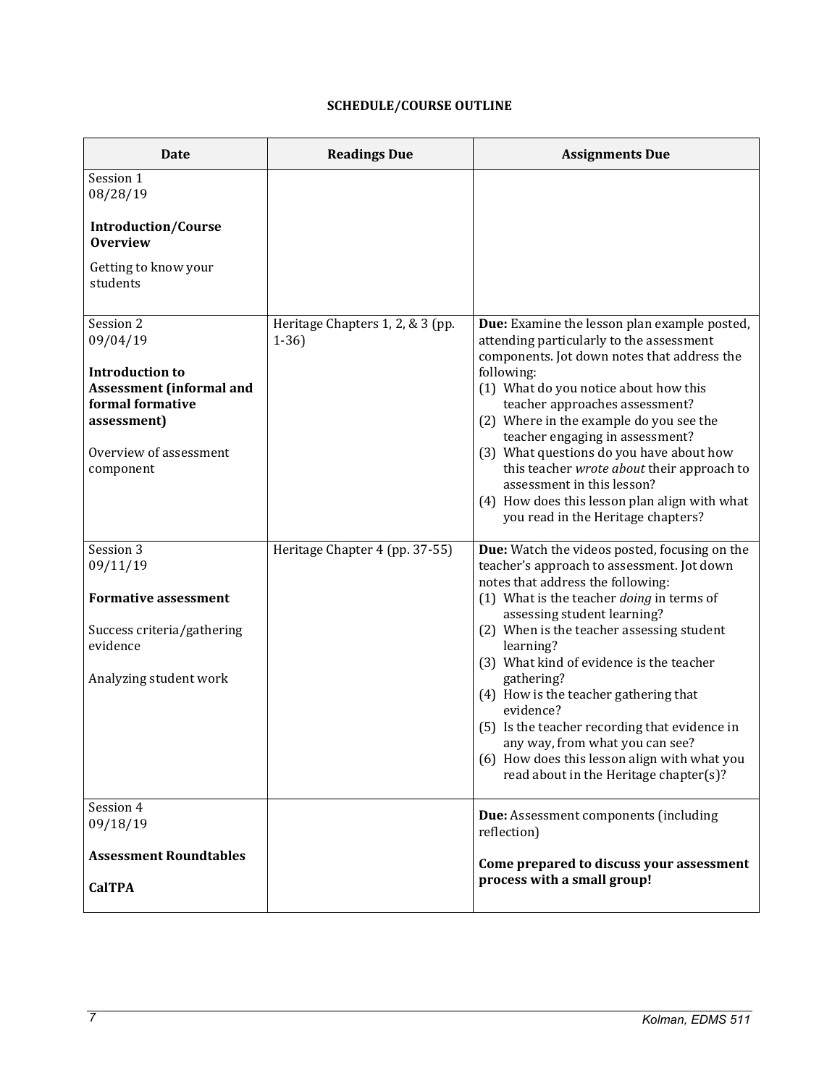# **SCHEDULE/COURSE OUTLINE**

<span id="page-6-0"></span>

| <b>Date</b>                                                                                  | <b>Readings Due</b>                        | <b>Assignments Due</b>                                                                                                                                                                                                                         |
|----------------------------------------------------------------------------------------------|--------------------------------------------|------------------------------------------------------------------------------------------------------------------------------------------------------------------------------------------------------------------------------------------------|
| Session 1<br>08/28/19                                                                        |                                            |                                                                                                                                                                                                                                                |
| <b>Introduction/Course</b><br><b>Overview</b>                                                |                                            |                                                                                                                                                                                                                                                |
| Getting to know your<br>students                                                             |                                            |                                                                                                                                                                                                                                                |
| Session 2<br>09/04/19                                                                        | Heritage Chapters 1, 2, & 3 (pp.<br>$1-36$ | Due: Examine the lesson plan example posted,<br>attending particularly to the assessment<br>components. Jot down notes that address the                                                                                                        |
| <b>Introduction to</b><br><b>Assessment (informal and</b><br>formal formative<br>assessment) |                                            | following:<br>(1) What do you notice about how this<br>teacher approaches assessment?<br>(2) Where in the example do you see the                                                                                                               |
| Overview of assessment<br>component                                                          |                                            | teacher engaging in assessment?<br>(3) What questions do you have about how<br>this teacher wrote about their approach to<br>assessment in this lesson?<br>(4) How does this lesson plan align with what<br>you read in the Heritage chapters? |
| Session 3<br>09/11/19                                                                        | Heritage Chapter 4 (pp. 37-55)             | Due: Watch the videos posted, focusing on the<br>teacher's approach to assessment. Jot down                                                                                                                                                    |
| <b>Formative assessment</b>                                                                  |                                            | notes that address the following:<br>(1) What is the teacher doing in terms of<br>assessing student learning?                                                                                                                                  |
| Success criteria/gathering<br>evidence                                                       |                                            | (2) When is the teacher assessing student<br>learning?                                                                                                                                                                                         |
| Analyzing student work                                                                       |                                            | (3) What kind of evidence is the teacher<br>gathering?                                                                                                                                                                                         |
|                                                                                              |                                            | (4) How is the teacher gathering that<br>evidence?                                                                                                                                                                                             |
|                                                                                              |                                            | (5) Is the teacher recording that evidence in<br>any way, from what you can see?<br>(6) How does this lesson align with what you<br>read about in the Heritage chapter(s)?                                                                     |
| Session 4<br>09/18/19                                                                        |                                            | Due: Assessment components (including<br>reflection)                                                                                                                                                                                           |
| <b>Assessment Roundtables</b>                                                                |                                            | Come prepared to discuss your assessment                                                                                                                                                                                                       |
| <b>CalTPA</b>                                                                                |                                            | process with a small group!                                                                                                                                                                                                                    |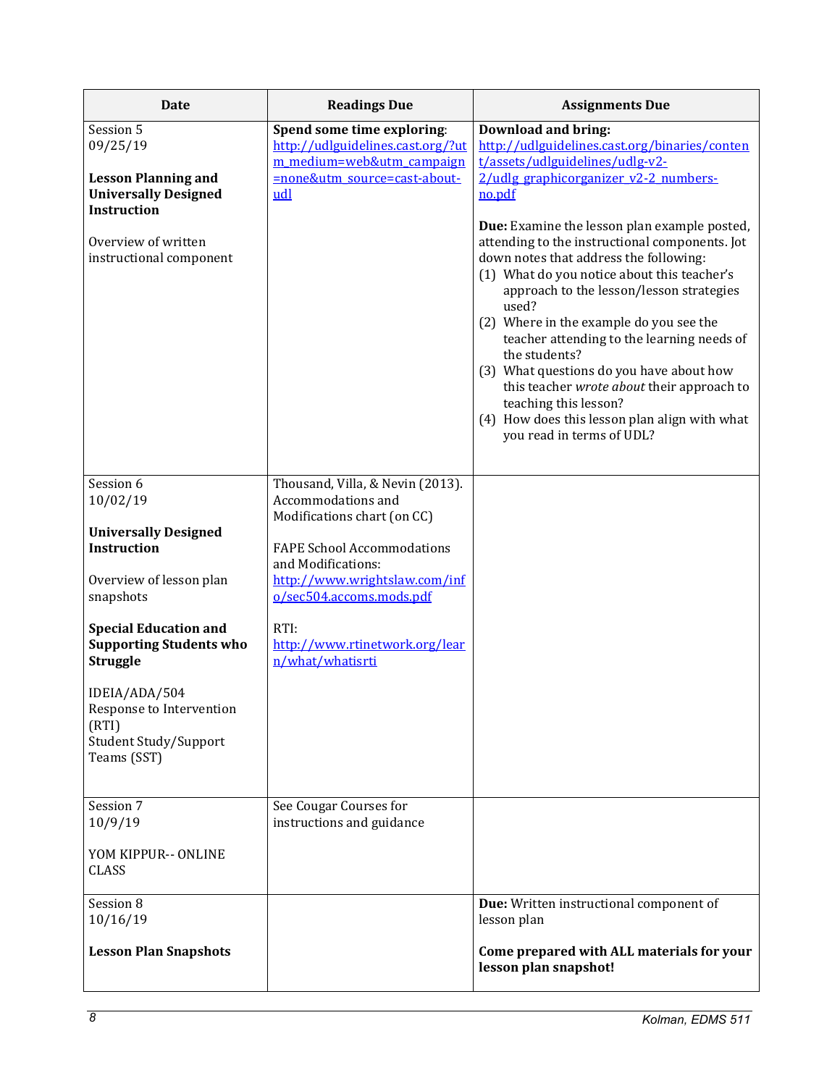| <b>Date</b>                                                                                                                                                                                             | <b>Readings Due</b>                                                                                                                                                                                                                                                         | <b>Assignments Due</b>                                                                                                                                                                                                                                                                                                                                                                                                                                                                                                                                                                                                                                                                                                       |
|---------------------------------------------------------------------------------------------------------------------------------------------------------------------------------------------------------|-----------------------------------------------------------------------------------------------------------------------------------------------------------------------------------------------------------------------------------------------------------------------------|------------------------------------------------------------------------------------------------------------------------------------------------------------------------------------------------------------------------------------------------------------------------------------------------------------------------------------------------------------------------------------------------------------------------------------------------------------------------------------------------------------------------------------------------------------------------------------------------------------------------------------------------------------------------------------------------------------------------------|
| Session 5<br>09/25/19<br><b>Lesson Planning and</b><br><b>Universally Designed</b><br><b>Instruction</b><br>Overview of written<br>instructional component                                              | Spend some time exploring:<br>http://udlguidelines.cast.org/?ut<br>m medium=web&utm campaign<br>=none&utm_source=cast-about-<br>udl                                                                                                                                         | <b>Download and bring:</b><br>http://udlguidelines.cast.org/binaries/conten<br>t/assets/udlguidelines/udlg-v2-<br>2/udlg graphicorganizer v2-2 numbers-<br>no.pdf<br>Due: Examine the lesson plan example posted,<br>attending to the instructional components. Jot<br>down notes that address the following:<br>(1) What do you notice about this teacher's<br>approach to the lesson/lesson strategies<br>used?<br>(2) Where in the example do you see the<br>teacher attending to the learning needs of<br>the students?<br>(3) What questions do you have about how<br>this teacher wrote about their approach to<br>teaching this lesson?<br>(4) How does this lesson plan align with what<br>you read in terms of UDL? |
| Session 6<br>10/02/19<br><b>Universally Designed</b><br><b>Instruction</b><br>Overview of lesson plan<br>snapshots<br><b>Special Education and</b><br><b>Supporting Students who</b><br><b>Struggle</b> | Thousand, Villa, & Nevin (2013).<br>Accommodations and<br>Modifications chart (on CC)<br><b>FAPE School Accommodations</b><br>and Modifications:<br>http://www.wrightslaw.com/inf<br>o/sec504.accoms.mods.pdf<br>RTI:<br>http://www.rtinetwork.org/lear<br>n/what/whatisrti |                                                                                                                                                                                                                                                                                                                                                                                                                                                                                                                                                                                                                                                                                                                              |
| IDEIA/ADA/504<br>Response to Intervention<br>(RTI)<br>Student Study/Support<br>Teams (SST)                                                                                                              |                                                                                                                                                                                                                                                                             |                                                                                                                                                                                                                                                                                                                                                                                                                                                                                                                                                                                                                                                                                                                              |
| Session 7<br>10/9/19<br>YOM KIPPUR-- ONLINE<br><b>CLASS</b>                                                                                                                                             | See Cougar Courses for<br>instructions and guidance                                                                                                                                                                                                                         |                                                                                                                                                                                                                                                                                                                                                                                                                                                                                                                                                                                                                                                                                                                              |
| Session 8<br>10/16/19<br><b>Lesson Plan Snapshots</b>                                                                                                                                                   |                                                                                                                                                                                                                                                                             | Due: Written instructional component of<br>lesson plan<br>Come prepared with ALL materials for your<br>lesson plan snapshot!                                                                                                                                                                                                                                                                                                                                                                                                                                                                                                                                                                                                 |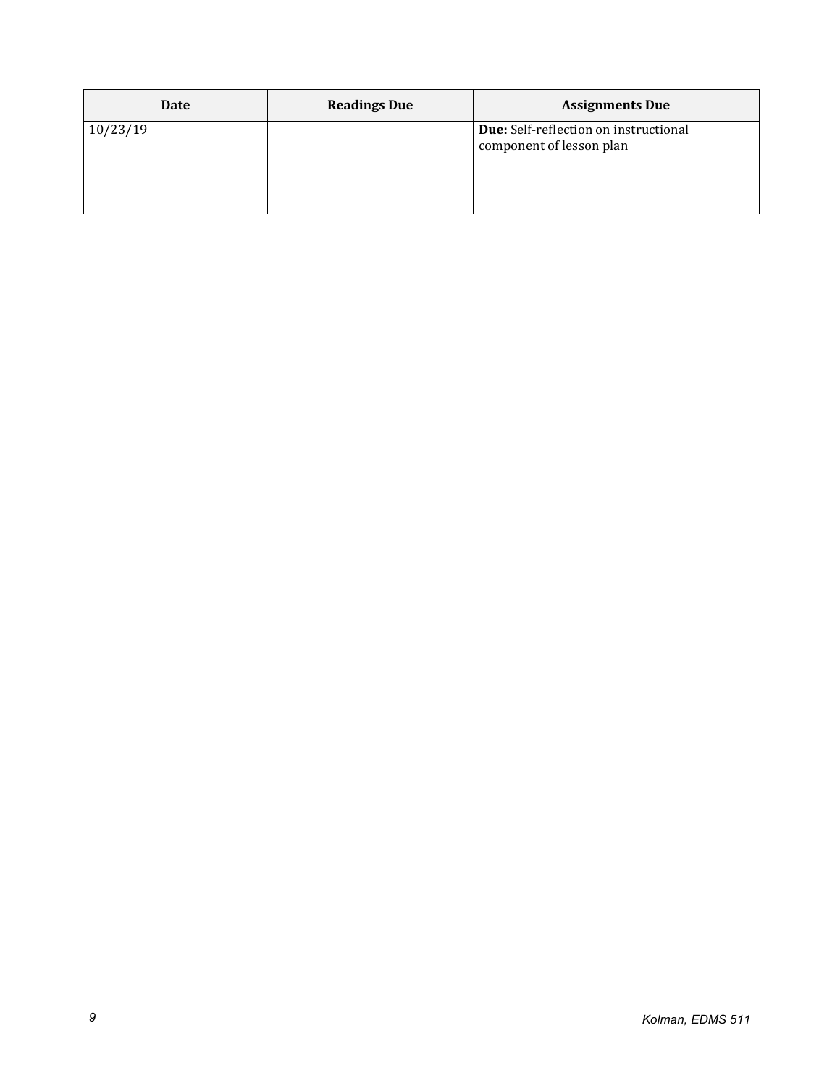| Date     | <b>Readings Due</b> | <b>Assignments Due</b>                                                   |
|----------|---------------------|--------------------------------------------------------------------------|
| 10/23/19 |                     | <b>Due:</b> Self-reflection on instructional<br>component of lesson plan |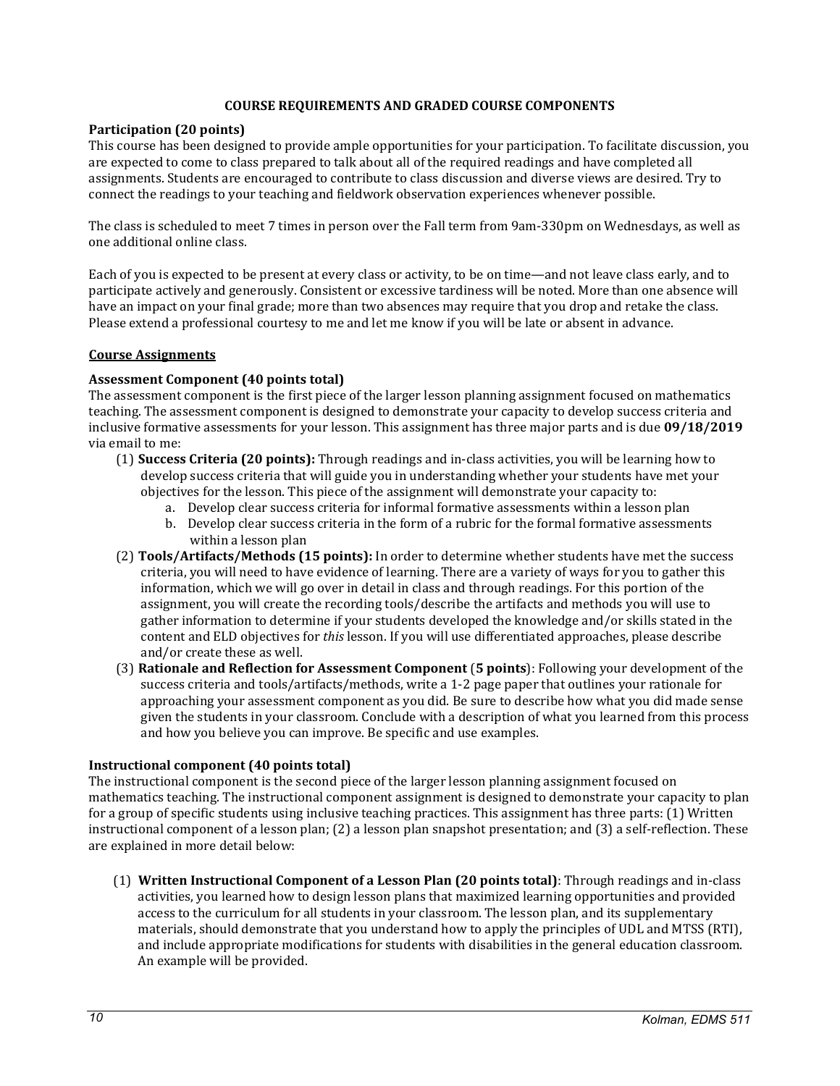### **COURSE REQUIREMENTS AND GRADED COURSE COMPONENTS**

### <span id="page-9-0"></span>**Participation (20 points)**

This course has been designed to provide ample opportunities for your participation. To facilitate discussion, you are expected to come to class prepared to talk about all of the required readings and have completed all assignments. Students are encouraged to contribute to class discussion and diverse views are desired. Try to connect the readings to your teaching and fieldwork observation experiences whenever possible.

The class is scheduled to meet 7 times in person over the Fall term from 9am-330pm on Wednesdays, as well as one additional online class.

Each of you is expected to be present at every class or activity, to be on time—and not leave class early, and to participate actively and generously. Consistent or excessive tardiness will be noted. More than one absence will have an impact on your final grade; more than two absences may require that you drop and retake the class. Please extend a professional courtesy to me and let me know if you will be late or absent in advance.

### <span id="page-9-1"></span>**Course Assignments**

### **Assessment Component (40 points total)**

The assessment component is the first piece of the larger lesson planning assignment focused on mathematics teaching. The assessment component is designed to demonstrate your capacity to develop success criteria and inclusive formative assessments for your lesson. This assignment has three major parts and is due **09/18/2019** via email to me:

- (1) **Success Criteria (20 points):** Through readings and in-class activities, you will be learning how to develop success criteria that will guide you in understanding whether your students have met your objectives for the lesson. This piece of the assignment will demonstrate your capacity to:
	- a. Develop clear success criteria for informal formative assessments within a lesson plan
	- b. Develop clear success criteria in the form of a rubric for the formal formative assessments within a lesson plan
- (2) **Tools/Artifacts/Methods (15 points):** In order to determine whether students have met the success criteria, you will need to have evidence of learning. There are a variety of ways for you to gather this information, which we will go over in detail in class and through readings. For this portion of the assignment, you will create the recording tools/describe the artifacts and methods you will use to gather information to determine if your students developed the knowledge and/or skills stated in the content and ELD objectives for *this* lesson. If you will use differentiated approaches, please describe and/or create these as well.
- (3) **Rationale and Reflection for Assessment Component** (**5 points**): Following your development of the success criteria and tools/artifacts/methods, write a 1-2 page paper that outlines your rationale for approaching your assessment component as you did. Be sure to describe how what you did made sense given the students in your classroom. Conclude with a description of what you learned from this process and how you believe you can improve. Be specific and use examples.

# **Instructional component (40 points total)**

The instructional component is the second piece of the larger lesson planning assignment focused on mathematics teaching. The instructional component assignment is designed to demonstrate your capacity to plan for a group of specific students using inclusive teaching practices. This assignment has three parts: (1) Written instructional component of a lesson plan; (2) a lesson plan snapshot presentation; and (3) a self-reflection. These are explained in more detail below:

(1) **Written Instructional Component of a Lesson Plan (20 points total)**: Through readings and in-class activities, you learned how to design lesson plans that maximized learning opportunities and provided access to the curriculum for all students in your classroom. The lesson plan, and its supplementary materials, should demonstrate that you understand how to apply the principles of UDL and MTSS (RTI), and include appropriate modifications for students with disabilities in the general education classroom. An example will be provided.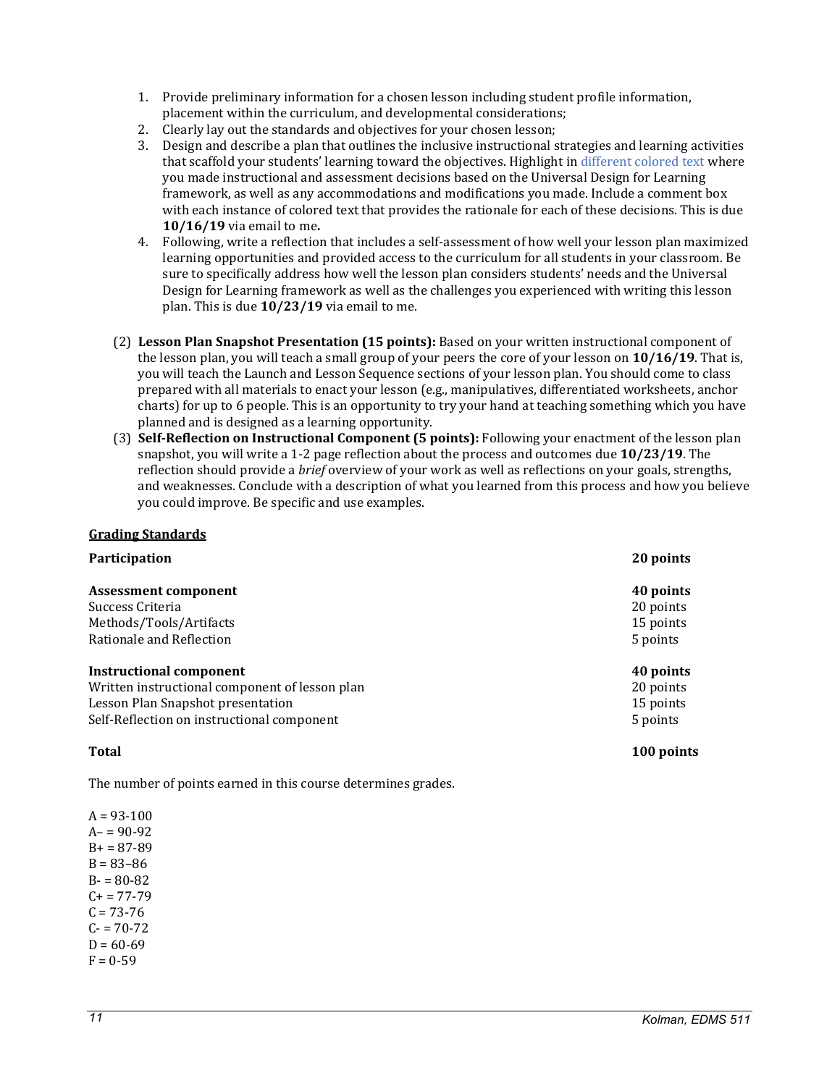- <span id="page-10-1"></span>1. Provide preliminary information for a chosen lesson including student profile information, placement within the curriculum, and developmental considerations;
- 2. Clearly lay out the standards and objectives for your chosen lesson;
- 3. Design and describe a plan that outlines the inclusive instructional strategies and learning activities that scaffold your students' learning toward the objectives. Highlight in different colored text where you made instructional and assessment decisions based on the Universal Design for Learning framework, as well as any accommodations and modifications you made. Include a comment box with each instance of colored text that provides the rationale for each of these decisions. This is due **10/16/19** via email to me**.**
- 4. Following, write a reflection that includes a self-assessment of how well your lesson plan maximized learning opportunities and provided access to the curriculum for all students in your classroom. Be sure to specifically address how well the lesson plan considers students' needs and the Universal Design for Learning framework as well as the challenges you experienced with writing this lesson plan. This is due **10/23/19** via email to me.
- (2) **Lesson Plan Snapshot Presentation (15 points):** Based on your written instructional component of the lesson plan, you will teach a small group of your peers the core of your lesson on **10/16/19**. That is, you will teach the Launch and Lesson Sequence sections of your lesson plan. You should come to class prepared with all materials to enact your lesson (e.g., manipulatives, differentiated worksheets, anchor charts) for up to 6 people. This is an opportunity to try your hand at teaching something which you have planned and is designed as a learning opportunity.
- (3) **Self-Reflection on Instructional Component (5 points):** Following your enactment of the lesson plan snapshot, you will write a 1-2 page reflection about the process and outcomes due **10/23/19**. The reflection should provide a *brief* overview of your work as well as reflections on your goals, strengths, and weaknesses. Conclude with a description of what you learned from this process and how you believe you could improve. Be specific and use examples.

### <span id="page-10-0"></span>**Grading Standards**

| Participation                                  | 20 points |
|------------------------------------------------|-----------|
| <b>Assessment component</b>                    | 40 points |
| Success Criteria                               | 20 points |
| Methods/Tools/Artifacts                        | 15 points |
| Rationale and Reflection                       | 5 points  |
| Instructional component                        | 40 points |
| Written instructional component of lesson plan | 20 points |
| Lesson Plan Snapshot presentation              | 15 points |
| Self-Reflection on instructional component     | 5 points  |

**Total 100 points**

The number of points earned in this course determines grades.

 $A = 93 - 100$  $A - 90 - 92$  $B+ = 87-89$  $B = 83 - 86$  $B - 80 - 82$  $C+= 77-79$  $C = 73 - 76$  $C = 70-72$  $D = 60-69$  $F = 0.59$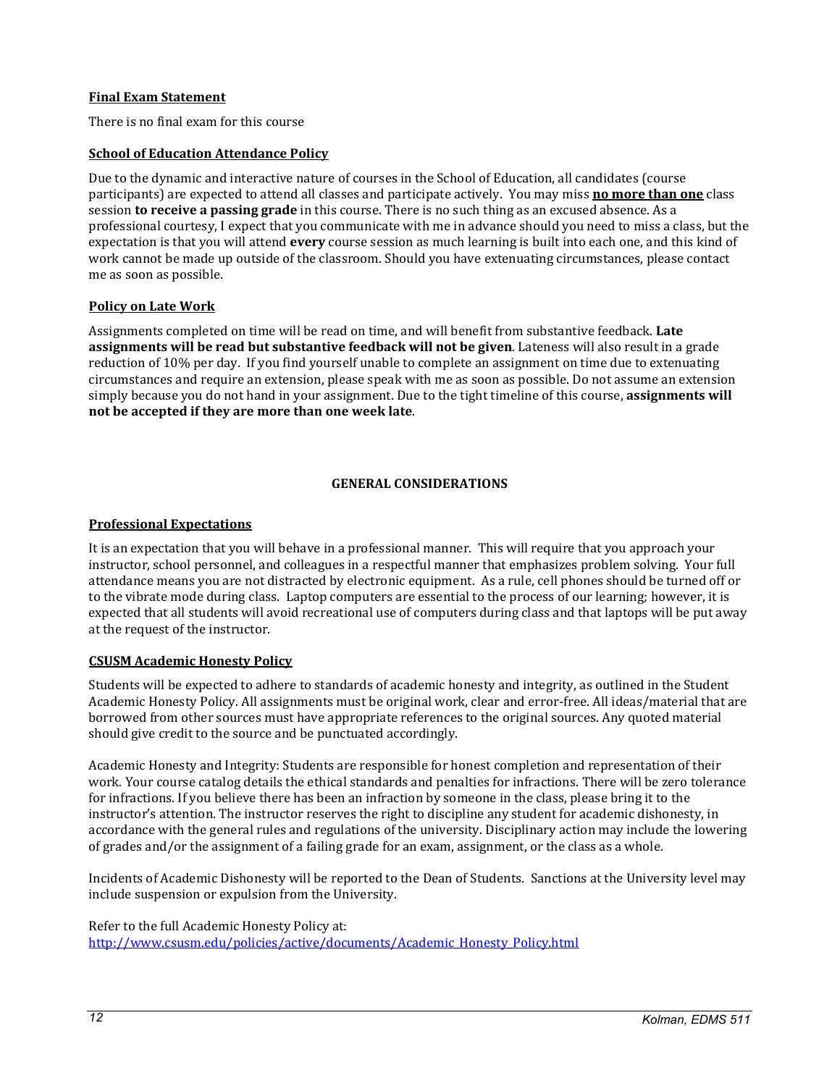### <span id="page-11-5"></span>**Final Exam Statement**

There is no final exam for this course

### <span id="page-11-0"></span>**School of Education Attendance Policy**

Due to the dynamic and interactive nature of courses in the School of Education, all candidates (course participants) are expected to attend all classes and participate actively. You may miss **no more than one** class session **to receive a passing grade** in this course. There is no such thing as an excused absence. As a professional courtesy, I expect that you communicate with me in advance should you need to miss a class, but the expectation is that you will attend **every** course session as much learning is built into each one, and this kind of work cannot be made up outside of the classroom. Should you have extenuating circumstances, please contact me as soon as possible.

### <span id="page-11-1"></span>**Policy on Late Work**

Assignments completed on time will be read on time, and will benefit from substantive feedback. **Late assignments will be read but substantive feedback will not be given**. Lateness will also result in a grade reduction of 10% per day. If you find yourself unable to complete an assignment on time due to extenuating circumstances and require an extension, please speak with me as soon as possible. Do not assume an extension simply because you do not hand in your assignment. Due to the tight timeline of this course, **assignments will not be accepted if they are more than one week late**.

# **GENERAL CONSIDERATIONS**

### <span id="page-11-3"></span><span id="page-11-2"></span>**Professional Expectations**

It is an expectation that you will behave in a professional manner. This will require that you approach your instructor, school personnel, and colleagues in a respectful manner that emphasizes problem solving. Your full attendance means you are not distracted by electronic equipment. As a rule, cell phones should be turned off or to the vibrate mode during class. Laptop computers are essential to the process of our learning; however, it is expected that all students will avoid recreational use of computers during class and that laptops will be put away at the request of the instructor.

### <span id="page-11-4"></span>**CSUSM Academic Honesty Policy**

Students will be expected to adhere to standards of academic honesty and integrity, as outlined in the Student Academic Honesty Policy. All assignments must be original work, clear and error-free. All ideas/material that are borrowed from other sources must have appropriate references to the original sources. Any quoted material should give credit to the source and be punctuated accordingly.

Academic Honesty and Integrity: Students are responsible for honest completion and representation of their work. Your course catalog details the ethical standards and penalties for infractions. There will be zero tolerance for infractions. If you believe there has been an infraction by someone in the class, please bring it to the instructor's attention. The instructor reserves the right to discipline any student for academic dishonesty, in accordance with the general rules and regulations of the university. Disciplinary action may include the lowering of grades and/or the assignment of a failing grade for an exam, assignment, or the class as a whole.

Incidents of Academic Dishonesty will be reported to the Dean of Students. Sanctions at the University level may include suspension or expulsion from the University.

Refer to the full Academic Honesty Policy at: [http://www.csusm.edu/policies/active/documents/Academic\\_Honesty\\_Policy.html](http://www.csusm.edu/policies/active/documents/Academic_Honesty_Policy.html)